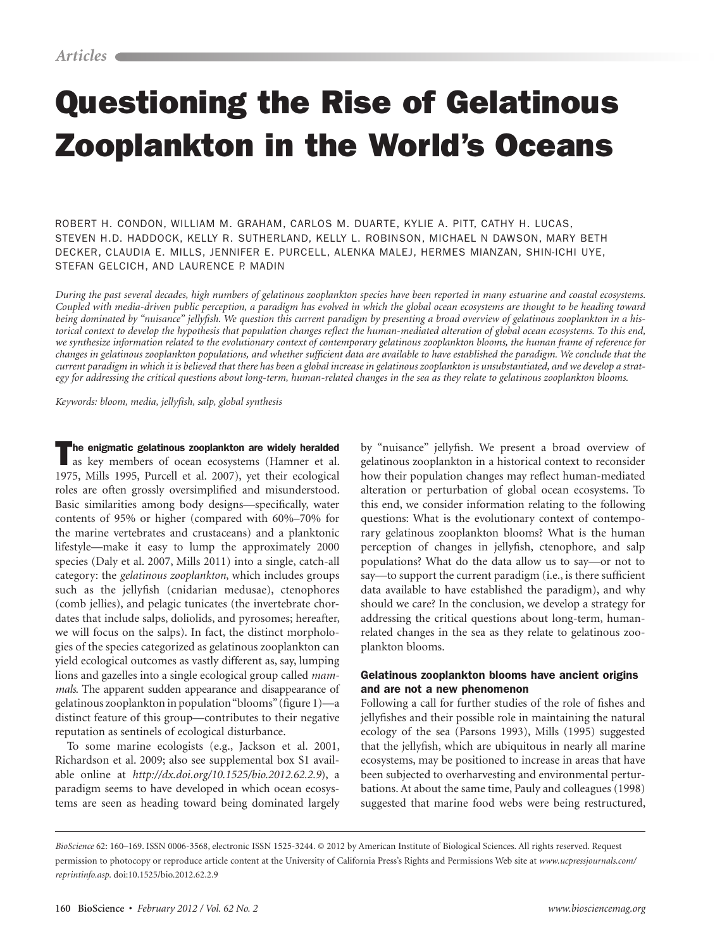# Questioning the Rise of Gelatinous Zooplankton in the World's Oceans

Robert H. Condon, William M. Graham, Carlos M. Duarte, Kylie A. Pitt, Cathy H. Lucas, Steven H.D. Haddock, Kelly R. Sutherland, Kelly L. Robinson, Michael N Dawson, Mary Beth Decker, Claudia E. Mills, Jennifer E. Purcell, Alenka Malej, Hermes Mianzan, Shin-ichi Uye, STEFAN GELCICH, AND LAURENCE P. MADIN

*During the past several decades, high numbers of gelatinous zooplankton species have been reported in many estuarine and coastal ecosystems. Coupled with media-driven public perception, a paradigm has evolved in which the global ocean ecosystems are thought to be heading toward being dominated by "nuisance" jellyfish. We question this current paradigm by presenting a broad overview of gelatinous zooplankton in a historical context to develop the hypothesis that population changes reflect the human-mediated alteration of global ocean ecosystems. To this end, we synthesize information related to the evolutionary context of contemporary gelatinous zooplankton blooms, the human frame of reference for changes in gelatinous zooplankton populations, and whether sufficient data are available to have established the paradigm. We conclude that the current paradigm in which it is believed that there has been a global increase in gelatinous zooplankton is unsubstantiated, and we develop a strategy for addressing the critical questions about long-term, human-related changes in the sea as they relate to gelatinous zooplankton blooms.*

*Keywords: bloom, media, jellyfish, salp, global synthesis*

The enigmatic gelatinous zooplankton are widely heralded<br>as key members of ocean ecosystems (Hamner et al. 1975, Mills 1995, Purcell et al. 2007), yet their ecological roles are often grossly oversimplified and misunderstood. Basic similarities among body designs—specifically, water contents of 95% or higher (compared with 60%–70% for the marine vertebrates and crustaceans) and a planktonic lifestyle—make it easy to lump the approximately 2000 species (Daly et al. 2007, Mills 2011) into a single, catch-all category: the *gelatinous zooplankton*, which includes groups such as the jellyfish (cnidarian medusae), ctenophores (comb jellies), and pelagic tunicates (the invertebrate chordates that include salps, doliolids, and pyrosomes; hereafter, we will focus on the salps). In fact, the distinct morphologies of the species categorized as gelatinous zooplankton can yield ecological outcomes as vastly different as, say, lumping lions and gazelles into a single ecological group called *mammals*. The apparent sudden appearance and disappearance of gelatinous zooplankton in population "blooms" (figure 1)—a distinct feature of this group—contributes to their negative reputation as sentinels of ecological disturbance.

To some marine ecologists (e.g., Jackson et al. 2001, Richardson et al. 2009; also see supplemental box S1 available online at *http://dx.doi.org/10.1525/bio.2012.62.2.9*), a paradigm seems to have developed in which ocean ecosystems are seen as heading toward being dominated largely by "nuisance" jellyfish. We present a broad overview of gelatinous zooplankton in a historical context to reconsider how their population changes may reflect human-mediated alteration or perturbation of global ocean ecosystems. To this end, we consider information relating to the following questions: What is the evolutionary context of contemporary gelatinous zooplankton blooms? What is the human perception of changes in jellyfish, ctenophore, and salp populations? What do the data allow us to say—or not to say—to support the current paradigm (i.e., is there sufficient data available to have established the paradigm), and why should we care? In the conclusion, we develop a strategy for addressing the critical questions about long-term, humanrelated changes in the sea as they relate to gelatinous zooplankton blooms.

## Gelatinous zooplankton blooms have ancient origins and are not a new phenomenon

Following a call for further studies of the role of fishes and jellyfishes and their possible role in maintaining the natural ecology of the sea (Parsons 1993), Mills (1995) suggested that the jellyfish, which are ubiquitous in nearly all marine ecosystems, may be positioned to increase in areas that have been subjected to overharvesting and environmental perturbations. At about the same time, Pauly and colleagues (1998) suggested that marine food webs were being restructured,

*BioScience* 62: 160–169. ISSN 0006-3568, electronic ISSN 1525-3244. © 2012 by American Institute of Biological Sciences. All rights reserved. Request permission to photocopy or reproduce article content at the University of California Press's Rights and Permissions Web site at *www.ucpressjournals.com/ reprintinfo.asp*. doi:10.1525/bio.2012.62.2.9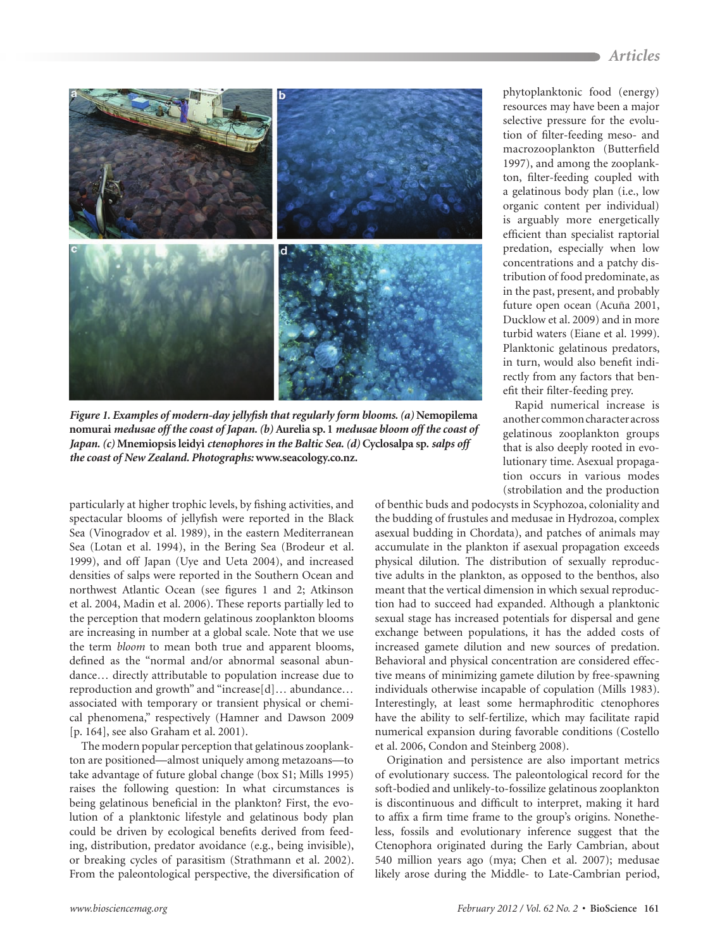# *Articles*



*Figure 1. Examples of modern-day jellyfish that regularly form blooms. (a)* **Nemopilema nomurai** *medusae off the coast of Japan. (b)* **Aurelia sp. 1** *medusae bloom off the coast of Japan. (c)* **Mnemiopsis leidyi** *ctenophores in the Baltic Sea. (d)* **Cyclosalpa sp.** *salps off the coast of New Zealand. Photographs:* **www.seacology.co.nz***.*

particularly at higher trophic levels, by fishing activities, and spectacular blooms of jellyfish were reported in the Black Sea (Vinogradov et al. 1989), in the eastern Mediterranean Sea (Lotan et al. 1994), in the Bering Sea (Brodeur et al. 1999), and off Japan (Uye and Ueta 2004), and increased densities of salps were reported in the Southern Ocean and northwest Atlantic Ocean (see figures 1 and 2; Atkinson et al. 2004, Madin et al. 2006). These reports partially led to the perception that modern gelatinous zooplankton blooms are increasing in number at a global scale. Note that we use the term *bloom* to mean both true and apparent blooms, defined as the "normal and/or abnormal seasonal abundance… directly attributable to population increase due to reproduction and growth" and "increase[d]… abundance… associated with temporary or transient physical or chemical phenomena," respectively (Hamner and Dawson 2009 [p. 164], see also Graham et al. 2001).

The modern popular perception that gelatinous zooplankton are positioned—almost uniquely among metazoans—to take advantage of future global change (box S1; Mills 1995) raises the following question: In what circumstances is being gelatinous beneficial in the plankton? First, the evolution of a planktonic lifestyle and gelatinous body plan could be driven by ecological benefits derived from feeding, distribution, predator avoidance (e.g., being invisible), or breaking cycles of parasitism (Strathmann et al. 2002). From the paleontological perspective, the diversification of phytoplanktonic food (energy) resources may have been a major selective pressure for the evolution of filter-feeding meso- and macrozooplankton (Butterfield 1997), and among the zooplankton, filter-feeding coupled with a gelatinous body plan (i.e., low organic content per individual) is arguably more energetically efficient than specialist raptorial predation, especially when low concentrations and a patchy distribution of food predominate, as in the past, present, and probably future open ocean (Acuña 2001, Ducklow et al. 2009) and in more turbid waters (Eiane et al. 1999). Planktonic gelatinous predators, in turn, would also benefit indirectly from any factors that benefit their filter-feeding prey.

Rapid numerical increase is another common character across gelatinous zooplankton groups that is also deeply rooted in evolutionary time. Asexual propagation occurs in various modes (strobilation and the production

of benthic buds and podocysts in Scyphozoa, coloniality and the budding of frustules and medusae in Hydrozoa, complex asexual budding in Chordata), and patches of animals may accumulate in the plankton if asexual propagation exceeds physical dilution. The distribution of sexually reproductive adults in the plankton, as opposed to the benthos, also meant that the vertical dimension in which sexual reproduction had to succeed had expanded. Although a planktonic sexual stage has increased potentials for dispersal and gene exchange between populations, it has the added costs of increased gamete dilution and new sources of predation. Behavioral and physical concentration are considered effective means of minimizing gamete dilution by free-spawning individuals otherwise incapable of copulation (Mills 1983). Interestingly, at least some hermaphroditic ctenophores have the ability to self-fertilize, which may facilitate rapid numerical expansion during favorable conditions (Costello et al. 2006, Condon and Steinberg 2008).

Origination and persistence are also important metrics of evolutionary success. The paleontological record for the soft-bodied and unlikely-to-fossilize gelatinous zooplankton is discontinuous and difficult to interpret, making it hard to affix a firm time frame to the group's origins. Nonetheless, fossils and evolutionary inference suggest that the Ctenophora originated during the Early Cambrian, about 540 million years ago (mya; Chen et al. 2007); medusae likely arose during the Middle- to Late-Cambrian period,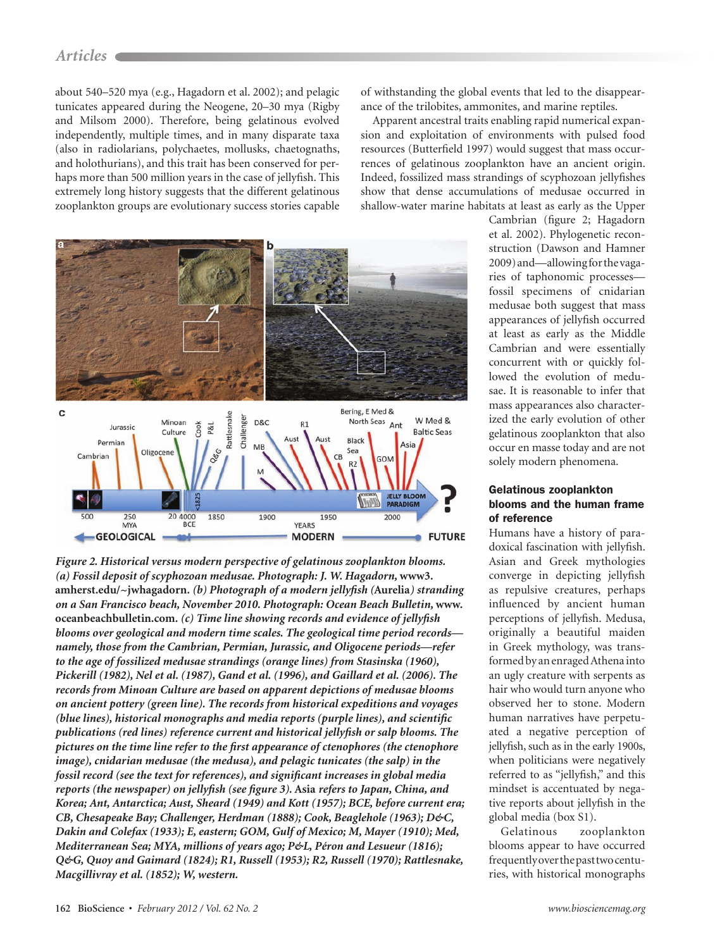# *Articles Articles*

about 540–520 mya (e.g., Hagadorn et al. 2002); and pelagic tunicates appeared during the Neogene, 20–30 mya (Rigby and Milsom 2000). Therefore, being gelatinous evolved independently, multiple times, and in many disparate taxa (also in radiolarians, polychaetes, mollusks, chaetognaths, and holothurians), and this trait has been conserved for perhaps more than 500 million years in the case of jellyfish. This extremely long history suggests that the different gelatinous zooplankton groups are evolutionary success stories capable



*Figure 2. Historical versus modern perspective of gelatinous zooplankton blooms. (a) Fossil deposit of scyphozoan medusae. Photograph: J. W. Hagadorn,* **www3. amherst.edu/~jwhagadorn***. (b) Photograph of a modern jellyfish (***Aurelia***) stranding on a San Francisco beach, November 2010. Photograph: Ocean Beach Bulletin,* **www. oceanbeachbulletin.com***. (c) Time line showing records and evidence of jellyfish blooms over geological and modern time scales. The geological time period records namely, those from the Cambrian, Permian, Jurassic, and Oligocene periods—refer to the age of fossilized medusae strandings (orange lines) from Stasinska (1960), Pickerill (1982), Nel et al. (1987), Gand et al. (1996), and Gaillard et al. (2006). The records from Minoan Culture are based on apparent depictions of medusae blooms on ancient pottery (green line). The records from historical expeditions and voyages (blue lines), historical monographs and media reports (purple lines), and scientific publications (red lines) reference current and historical jellyfish or salp blooms. The pictures on the time line refer to the first appearance of ctenophores (the ctenophore image), cnidarian medusae (the medusa), and pelagic tunicates (the salp) in the fossil record (see the text for references), and significant increases in global media reports (the newspaper) on jellyfish (see figure 3).* **Asia** *refers to Japan, China, and Korea; Ant, Antarctica; Aust, Sheard (1949) and Kott (1957); BCE, before current era; CB, Chesapeake Bay; Challenger, Herdman (1888); Cook, Beaglehole (1963); D&C, Dakin and Colefax (1933); E, eastern; GOM, Gulf of Mexico; M, Mayer (1910); Med, Mediterranean Sea; MYA, millions of years ago; P&L, Péron and Lesueur (1816); Q&G, Quoy and Gaimard (1824); R1, Russell (1953); R2, Russell (1970); Rattlesnake, Macgillivray et al. (1852); W, western.*

of withstanding the global events that led to the disappearance of the trilobites, ammonites, and marine reptiles.

Apparent ancestral traits enabling rapid numerical expansion and exploitation of environments with pulsed food resources (Butterfield 1997) would suggest that mass occurrences of gelatinous zooplankton have an ancient origin. Indeed, fossilized mass strandings of scyphozoan jellyfishes show that dense accumulations of medusae occurred in shallow-water marine habitats at least as early as the Upper

> Cambrian (figure 2; Hagadorn et al. 2002). Phylogenetic reconstruction (Dawson and Hamner 2009) and—allowing for the vagaries of taphonomic processes fossil specimens of cnidarian medusae both suggest that mass appearances of jellyfish occurred at least as early as the Middle Cambrian and were essentially concurrent with or quickly followed the evolution of medusae. It is reasonable to infer that mass appearances also characterized the early evolution of other gelatinous zooplankton that also occur en masse today and are not solely modern phenomena.

#### Gelatinous zooplankton blooms and the human frame of reference

Humans have a history of paradoxical fascination with jellyfish. Asian and Greek mythologies converge in depicting jellyfish as repulsive creatures, perhaps influenced by ancient human perceptions of jellyfish. Medusa, originally a beautiful maiden in Greek mythology, was transformed by an enraged Athena into an ugly creature with serpents as hair who would turn anyone who observed her to stone. Modern human narratives have perpetuated a negative perception of jellyfish, such as in the early 1900s, when politicians were negatively referred to as "jellyfish," and this mindset is accentuated by negative reports about jellyfish in the global media (box S1).

Gelatinous zooplankton blooms appear to have occurred frequently over the past two centuries, with historical monographs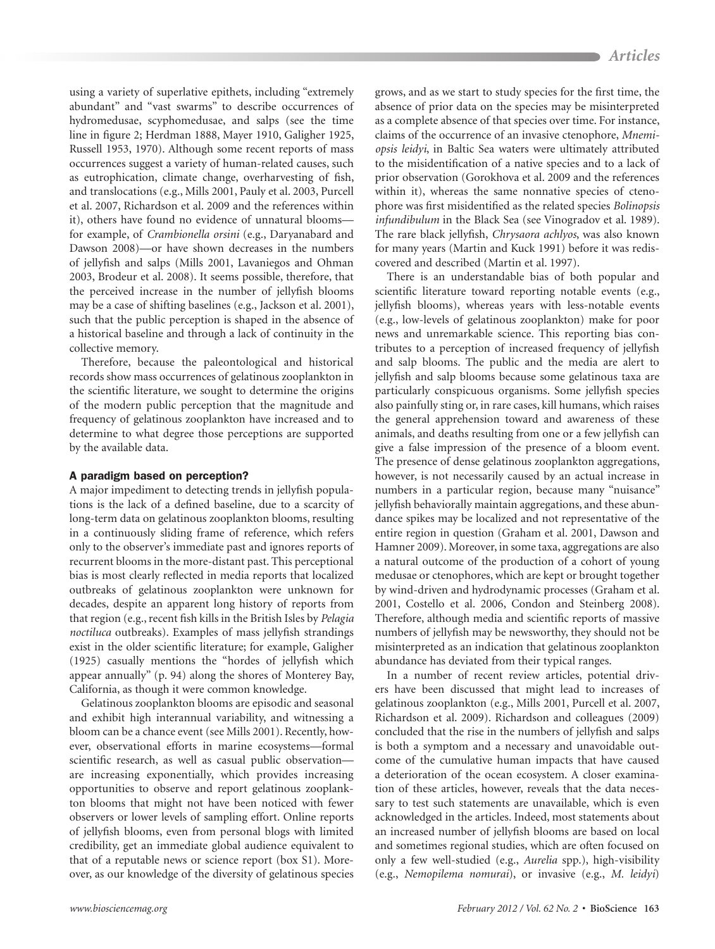using a variety of superlative epithets, including "extremely abundant" and "vast swarms" to describe occurrences of hydromedusae, scyphomedusae, and salps (see the time line in figure 2; Herdman 1888, Mayer 1910, Galigher 1925, Russell 1953, 1970). Although some recent reports of mass occurrences suggest a variety of human-related causes, such as eutrophication, climate change, overharvesting of fish, and translocations (e.g., Mills 2001, Pauly et al. 2003, Purcell et al. 2007, Richardson et al. 2009 and the references within it), others have found no evidence of unnatural blooms for example, of *Crambionella orsini* (e.g., Daryanabard and Dawson 2008)—or have shown decreases in the numbers of jellyfish and salps (Mills 2001, Lavaniegos and Ohman 2003, Brodeur et al. 2008). It seems possible, therefore, that the perceived increase in the number of jellyfish blooms may be a case of shifting baselines (e.g., Jackson et al. 2001), such that the public perception is shaped in the absence of a historical baseline and through a lack of continuity in the collective memory.

Therefore, because the paleontological and historical records show mass occurrences of gelatinous zooplankton in the scientific literature, we sought to determine the origins of the modern public perception that the magnitude and frequency of gelatinous zooplankton have increased and to determine to what degree those perceptions are supported by the available data.

#### A paradigm based on perception?

A major impediment to detecting trends in jellyfish populations is the lack of a defined baseline, due to a scarcity of long-term data on gelatinous zooplankton blooms, resulting in a continuously sliding frame of reference, which refers only to the observer's immediate past and ignores reports of recurrent blooms in the more-distant past. This perceptional bias is most clearly reflected in media reports that localized outbreaks of gelatinous zooplankton were unknown for decades, despite an apparent long history of reports from that region (e.g., recent fish kills in the British Isles by *Pelagia noctiluca* outbreaks). Examples of mass jellyfish strandings exist in the older scientific literature; for example, Galigher (1925) casually mentions the "hordes of jellyfish which appear annually" (p. 94) along the shores of Monterey Bay, California, as though it were common knowledge.

Gelatinous zooplankton blooms are episodic and seasonal and exhibit high interannual variability, and witnessing a bloom can be a chance event (see Mills 2001). Recently, however, observational efforts in marine ecosystems—formal scientific research, as well as casual public observation are increasing exponentially, which provides increasing opportunities to observe and report gelatinous zooplankton blooms that might not have been noticed with fewer observers or lower levels of sampling effort. Online reports of jellyfish blooms, even from personal blogs with limited credibility, get an immediate global audience equivalent to that of a reputable news or science report (box S1). Moreover, as our knowledge of the diversity of gelatinous species grows, and as we start to study species for the first time, the absence of prior data on the species may be misinterpreted as a complete absence of that species over time. For instance, claims of the occurrence of an invasive ctenophore, *Mnemiopsis leidyi*, in Baltic Sea waters were ultimately attributed to the misidentification of a native species and to a lack of prior observation (Gorokhova et al. 2009 and the references within it), whereas the same nonnative species of ctenophore was first misidentified as the related species *Bolinopsis infundibulum* in the Black Sea (see Vinogradov et al. 1989). The rare black jellyfish, *Chrysaora achlyos*, was also known for many years (Martin and Kuck 1991) before it was rediscovered and described (Martin et al. 1997).

There is an understandable bias of both popular and scientific literature toward reporting notable events (e.g., jellyfish blooms), whereas years with less-notable events (e.g., low-levels of gelatinous zooplankton) make for poor news and unremarkable science. This reporting bias contributes to a perception of increased frequency of jellyfish and salp blooms. The public and the media are alert to jellyfish and salp blooms because some gelatinous taxa are particularly conspicuous organisms. Some jellyfish species also painfully sting or, in rare cases, kill humans, which raises the general apprehension toward and awareness of these animals, and deaths resulting from one or a few jellyfish can give a false impression of the presence of a bloom event. The presence of dense gelatinous zooplankton aggregations, however, is not necessarily caused by an actual increase in numbers in a particular region, because many "nuisance" jellyfish behaviorally maintain aggregations, and these abundance spikes may be localized and not representative of the entire region in question (Graham et al. 2001, Dawson and Hamner 2009). Moreover, in some taxa, aggregations are also a natural outcome of the production of a cohort of young medusae or ctenophores, which are kept or brought together by wind-driven and hydrodynamic processes (Graham et al. 2001, Costello et al. 2006, Condon and Steinberg 2008). Therefore, although media and scientific reports of massive numbers of jellyfish may be newsworthy, they should not be misinterpreted as an indication that gelatinous zooplankton abundance has deviated from their typical ranges.

In a number of recent review articles, potential drivers have been discussed that might lead to increases of gelatinous zooplankton (e.g., Mills 2001, Purcell et al. 2007, Richardson et al. 2009). Richardson and colleagues (2009) concluded that the rise in the numbers of jellyfish and salps is both a symptom and a necessary and unavoidable outcome of the cumulative human impacts that have caused a deterioration of the ocean ecosystem. A closer examination of these articles, however, reveals that the data necessary to test such statements are unavailable, which is even acknowledged in the articles. Indeed, most statements about an increased number of jellyfish blooms are based on local and sometimes regional studies, which are often focused on only a few well-studied (e.g., *Aurelia* spp.), high-visibility (e.g., *Nemopilema nomurai*), or invasive (e.g., *M. leidyi*)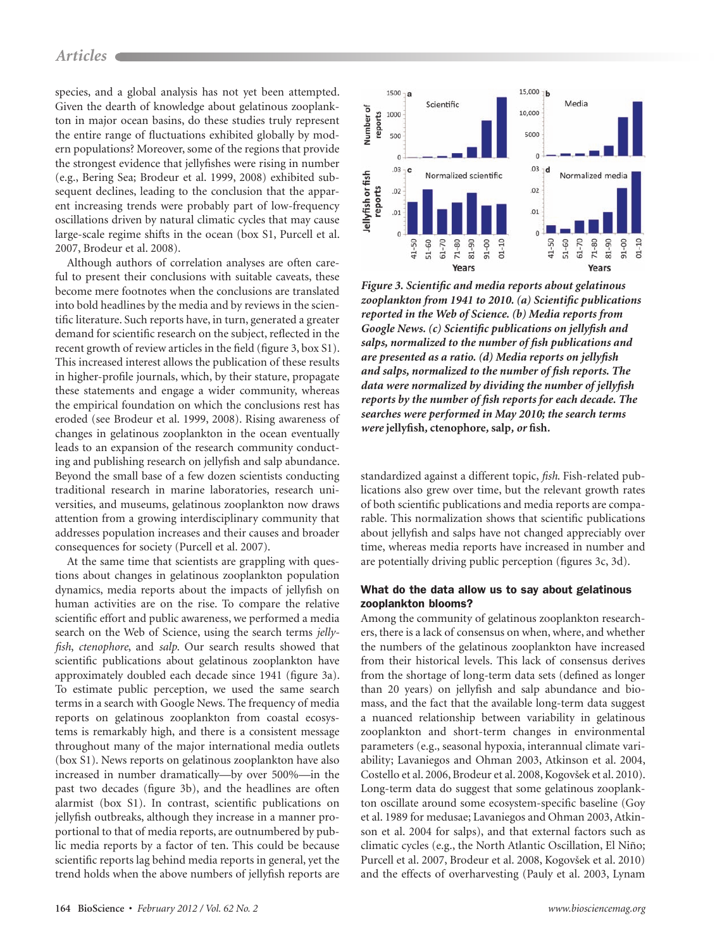species, and a global analysis has not yet been attempted. Given the dearth of knowledge about gelatinous zooplankton in major ocean basins, do these studies truly represent the entire range of fluctuations exhibited globally by modern populations? Moreover, some of the regions that provide the strongest evidence that jellyfishes were rising in number (e.g., Bering Sea; Brodeur et al. 1999, 2008) exhibited subsequent declines, leading to the conclusion that the apparent increasing trends were probably part of low-frequency oscillations driven by natural climatic cycles that may cause large-scale regime shifts in the ocean (box S1, Purcell et al. 2007, Brodeur et al. 2008).

Although authors of correlation analyses are often careful to present their conclusions with suitable caveats, these become mere footnotes when the conclusions are translated into bold headlines by the media and by reviews in the scientific literature. Such reports have, in turn, generated a greater demand for scientific research on the subject, reflected in the recent growth of review articles in the field (figure 3, box S1). This increased interest allows the publication of these results in higher-profile journals, which, by their stature, propagate these statements and engage a wider community, whereas the empirical foundation on which the conclusions rest has eroded (see Brodeur et al. 1999, 2008). Rising awareness of changes in gelatinous zooplankton in the ocean eventually leads to an expansion of the research community conducting and publishing research on jellyfish and salp abundance. Beyond the small base of a few dozen scientists conducting traditional research in marine laboratories, research universities, and museums, gelatinous zooplankton now draws attention from a growing interdisciplinary community that addresses population increases and their causes and broader consequences for society (Purcell et al. 2007).

At the same time that scientists are grappling with questions about changes in gelatinous zooplankton population dynamics, media reports about the impacts of jellyfish on human activities are on the rise. To compare the relative scientific effort and public awareness, we performed a media search on the Web of Science, using the search terms *jellyfish*, *ctenophore*, and *salp*. Our search results showed that scientific publications about gelatinous zooplankton have approximately doubled each decade since 1941 (figure 3a). To estimate public perception, we used the same search terms in a search with Google News. The frequency of media reports on gelatinous zooplankton from coastal ecosystems is remarkably high, and there is a consistent message throughout many of the major international media outlets (box S1). News reports on gelatinous zooplankton have also increased in number dramatically—by over 500%—in the past two decades (figure 3b), and the headlines are often alarmist (box S1). In contrast, scientific publications on jellyfish outbreaks, although they increase in a manner proportional to that of media reports, are outnumbered by public media reports by a factor of ten. This could be because scientific reports lag behind media reports in general, yet the trend holds when the above numbers of jellyfish reports are



*Figure 3. Scientific and media reports about gelatinous zooplankton from 1941 to 2010. (a) Scientific publications reported in the Web of Science. (b) Media reports from Google News. (c) Scientific publications on jellyfish and salps, normalized to the number of fish publications and are presented as a ratio. (d) Media reports on jellyfish and salps, normalized to the number of fish reports. The data were normalized by dividing the number of jellyfish reports by the number of fish reports for each decade. The searches were performed in May 2010; the search terms were* **jellyfish***,* **ctenophore***,* **salp***, or* **fish***.*

standardized against a different topic, *fish*. Fish-related publications also grew over time, but the relevant growth rates of both scientific publications and media reports are comparable. This normalization shows that scientific publications about jellyfish and salps have not changed appreciably over time, whereas media reports have increased in number and are potentially driving public perception (figures 3c, 3d).

### What do the data allow us to say about gelatinous zooplankton blooms?

Among the community of gelatinous zooplankton researchers, there is a lack of consensus on when, where, and whether the numbers of the gelatinous zooplankton have increased from their historical levels. This lack of consensus derives from the shortage of long-term data sets (defined as longer than 20 years) on jellyfish and salp abundance and biomass, and the fact that the available long-term data suggest a nuanced relationship between variability in gelatinous zooplankton and short-term changes in environmental parameters (e.g., seasonal hypoxia, interannual climate variability; Lavaniegos and Ohman 2003, Atkinson et al. 2004, Costello et al. 2006, Brodeur et al. 2008, Kogovšek et al. 2010). Long-term data do suggest that some gelatinous zooplankton oscillate around some ecosystem-specific baseline (Goy et al. 1989 for medusae; Lavaniegos and Ohman 2003, Atkinson et al. 2004 for salps), and that external factors such as climatic cycles (e.g., the North Atlantic Oscillation, El Niño; Purcell et al. 2007, Brodeur et al. 2008, Kogovšek et al. 2010) and the effects of overharvesting (Pauly et al. 2003, Lynam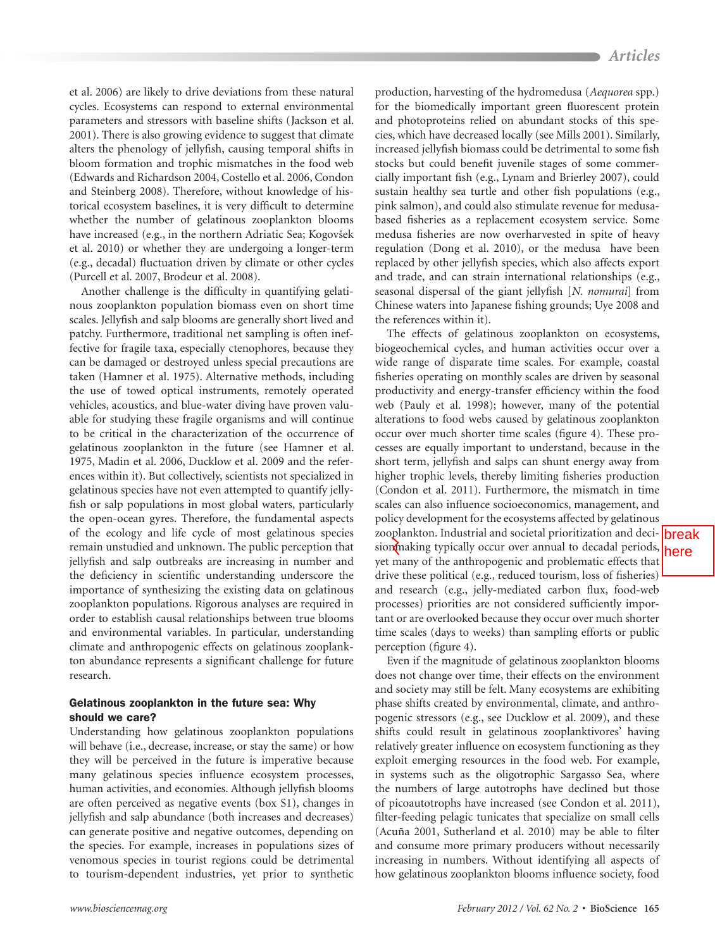et al. 2006) are likely to drive deviations from these natural cycles. Ecosystems can respond to external environmental parameters and stressors with baseline shifts (Jackson et al. 2001). There is also growing evidence to suggest that climate alters the phenology of jellyfish, causing temporal shifts in bloom formation and trophic mismatches in the food web (Edwards and Richardson 2004, Costello et al. 2006, Condon and Steinberg 2008). Therefore, without knowledge of historical ecosystem baselines, it is very difficult to determine whether the number of gelatinous zooplankton blooms have increased (e.g., in the northern Adriatic Sea; Kogovšek et al. 2010) or whether they are undergoing a longer-term (e.g., decadal) fluctuation driven by climate or other cycles (Purcell et al. 2007, Brodeur et al. 2008).

Another challenge is the difficulty in quantifying gelatinous zooplankton population biomass even on short time scales. Jellyfish and salp blooms are generally short lived and patchy. Furthermore, traditional net sampling is often ineffective for fragile taxa, especially ctenophores, because they can be damaged or destroyed unless special precautions are taken (Hamner et al. 1975). Alternative methods, including the use of towed optical instruments, remotely operated vehicles, acoustics, and blue-water diving have proven valuable for studying these fragile organisms and will continue to be critical in the characterization of the occurrence of gelatinous zooplankton in the future (see Hamner et al. 1975, Madin et al. 2006, Ducklow et al. 2009 and the references within it). But collectively, scientists not specialized in gelatinous species have not even attempted to quantify jellyfish or salp populations in most global waters, particularly the open-ocean gyres. Therefore, the fundamental aspects of the ecology and life cycle of most gelatinous species remain unstudied and unknown. The public perception that jellyfish and salp outbreaks are increasing in number and the deficiency in scientific understanding underscore the importance of synthesizing the existing data on gelatinous zooplankton populations. Rigorous analyses are required in order to establish causal relationships between true blooms and environmental variables. In particular, understanding climate and anthropogenic effects on gelatinous zooplankton abundance represents a significant challenge for future research.

## Gelatinous zooplankton in the future sea: Why should we care?

Understanding how gelatinous zooplankton populations will behave (i.e., decrease, increase, or stay the same) or how they will be perceived in the future is imperative because many gelatinous species influence ecosystem processes, human activities, and economies. Although jellyfish blooms are often perceived as negative events (box S1), changes in jellyfish and salp abundance (both increases and decreases) can generate positive and negative outcomes, depending on the species. For example, increases in populations sizes of venomous species in tourist regions could be detrimental to tourism-dependent industries, yet prior to synthetic production, harvesting of the hydromedusa (*Aequorea* spp.) for the biomedically important green fluorescent protein and photoproteins relied on abundant stocks of this species, which have decreased locally (see Mills 2001). Similarly, increased jellyfish biomass could be detrimental to some fish stocks but could benefit juvenile stages of some commercially important fish (e.g., Lynam and Brierley 2007), could sustain healthy sea turtle and other fish populations (e.g., pink salmon), and could also stimulate revenue for medusabased fisheries as a replacement ecosystem service. Some medusa fisheries are now overharvested in spite of heavy regulation (Dong et al. 2010), or the medusa have been replaced by other jellyfish species, which also affects export and trade, and can strain international relationships (e.g., seasonal dispersal of the giant jellyfish [*N. nomurai*] from Chinese waters into Japanese fishing grounds; Uye 2008 and the references within it).

The effects of gelatinous zooplankton on ecosystems, biogeochemical cycles, and human activities occur over a wide range of disparate time scales. For example, coastal fisheries operating on monthly scales are driven by seasonal productivity and energy-transfer efficiency within the food web (Pauly et al. 1998); however, many of the potential alterations to food webs caused by gelatinous zooplankton occur over much shorter time scales (figure 4). These processes are equally important to understand, because in the short term, jellyfish and salps can shunt energy away from higher trophic levels, thereby limiting fisheries production (Condon et al. 2011). Furthermore, the mismatch in time scales can also influence socioeconomics, management, and policy development for the ecosystems affected by gelatinous zooplankton. Industrial and societal prioritization and deci- <mark>break</mark> sion making typically occur over annual to decadal periods, here yet many of the anthropogenic and problematic effects that drive these political (e.g., reduced tourism, loss of fisheries) and research (e.g., jelly-mediated carbon flux, food-web processes) priorities are not considered sufficiently important or are overlooked because they occur over much shorter time scales (days to weeks) than sampling efforts or public perception (figure 4).

Even if the magnitude of gelatinous zooplankton blooms does not change over time, their effects on the environment and society may still be felt. Many ecosystems are exhibiting phase shifts created by environmental, climate, and anthropogenic stressors (e.g., see Ducklow et al. 2009), and these shifts could result in gelatinous zooplanktivores' having relatively greater influence on ecosystem functioning as they exploit emerging resources in the food web. For example, in systems such as the oligotrophic Sargasso Sea, where the numbers of large autotrophs have declined but those of picoautotrophs have increased (see Condon et al. 2011), filter-feeding pelagic tunicates that specialize on small cells (Acuña 2001, Sutherland et al. 2010) may be able to filter and consume more primary producers without necessarily increasing in numbers. Without identifying all aspects of how gelatinous zooplankton blooms influence society, food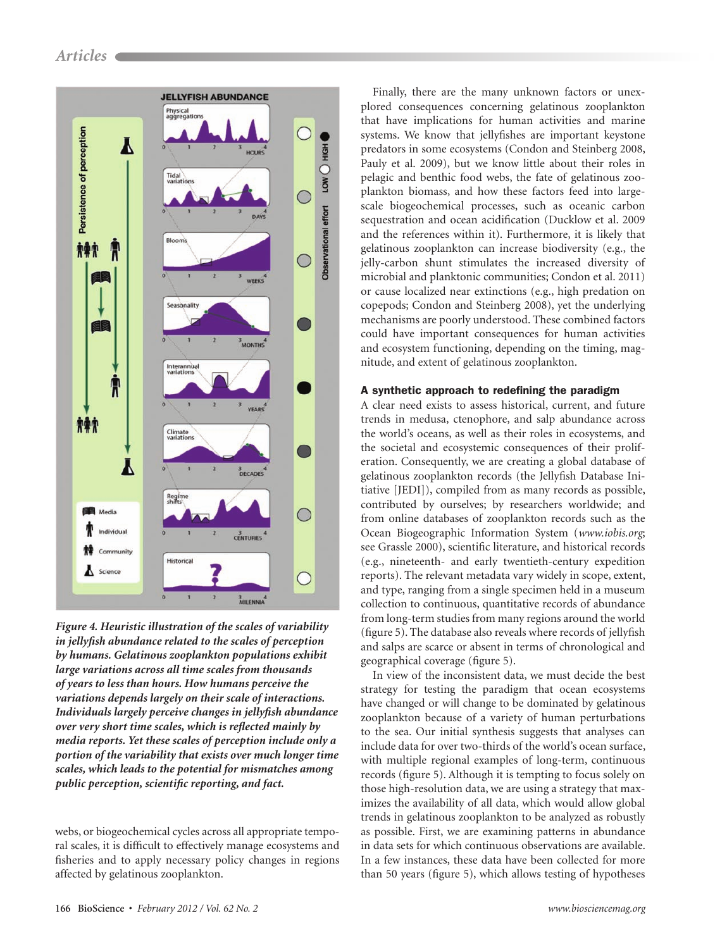

*Figure 4. Heuristic illustration of the scales of variability in jellyfish abundance related to the scales of perception by humans. Gelatinous zooplankton populations exhibit large variations across all time scales from thousands of years to less than hours. How humans perceive the variations depends largely on their scale of interactions. Individuals largely perceive changes in jellyfish abundance over very short time scales, which is reflected mainly by media reports. Yet these scales of perception include only a portion of the variability that exists over much longer time scales, which leads to the potential for mismatches among public perception, scientific reporting, and fact.*

webs, or biogeochemical cycles across all appropriate temporal scales, it is difficult to effectively manage ecosystems and fisheries and to apply necessary policy changes in regions affected by gelatinous zooplankton.

Finally, there are the many unknown factors or unexplored consequences concerning gelatinous zooplankton that have implications for human activities and marine systems. We know that jellyfishes are important keystone predators in some ecosystems (Condon and Steinberg 2008, Pauly et al. 2009), but we know little about their roles in pelagic and benthic food webs, the fate of gelatinous zooplankton biomass, and how these factors feed into largescale biogeochemical processes, such as oceanic carbon sequestration and ocean acidification (Ducklow et al. 2009 and the references within it). Furthermore, it is likely that gelatinous zooplankton can increase biodiversity (e.g., the jelly-carbon shunt stimulates the increased diversity of microbial and planktonic communities; Condon et al. 2011) or cause localized near extinctions (e.g., high predation on copepods; Condon and Steinberg 2008), yet the underlying mechanisms are poorly understood. These combined factors could have important consequences for human activities and ecosystem functioning, depending on the timing, magnitude, and extent of gelatinous zooplankton.

### A synthetic approach to redefining the paradigm

A clear need exists to assess historical, current, and future trends in medusa, ctenophore, and salp abundance across the world's oceans, as well as their roles in ecosystems, and the societal and ecosystemic consequences of their proliferation. Consequently, we are creating a global database of gelatinous zooplankton records (the Jellyfish Database Initiative [JEDI]), compiled from as many records as possible, contributed by ourselves; by researchers worldwide; and from online databases of zooplankton records such as the Ocean Biogeographic Information System (*www.iobis.org*; see Grassle 2000), scientific literature, and historical records (e.g., nineteenth- and early twentieth-century expedition reports). The relevant metadata vary widely in scope, extent, and type, ranging from a single specimen held in a museum collection to continuous, quantitative records of abundance from long-term studies from many regions around the world (figure 5). The database also reveals where records of jellyfish and salps are scarce or absent in terms of chronological and geographical coverage (figure 5).

In view of the inconsistent data, we must decide the best strategy for testing the paradigm that ocean ecosystems have changed or will change to be dominated by gelatinous zooplankton because of a variety of human perturbations to the sea. Our initial synthesis suggests that analyses can include data for over two-thirds of the world's ocean surface, with multiple regional examples of long-term, continuous records (figure 5). Although it is tempting to focus solely on those high-resolution data, we are using a strategy that maximizes the availability of all data, which would allow global trends in gelatinous zooplankton to be analyzed as robustly as possible. First, we are examining patterns in abundance in data sets for which continuous observations are available. In a few instances, these data have been collected for more than 50 years (figure 5), which allows testing of hypotheses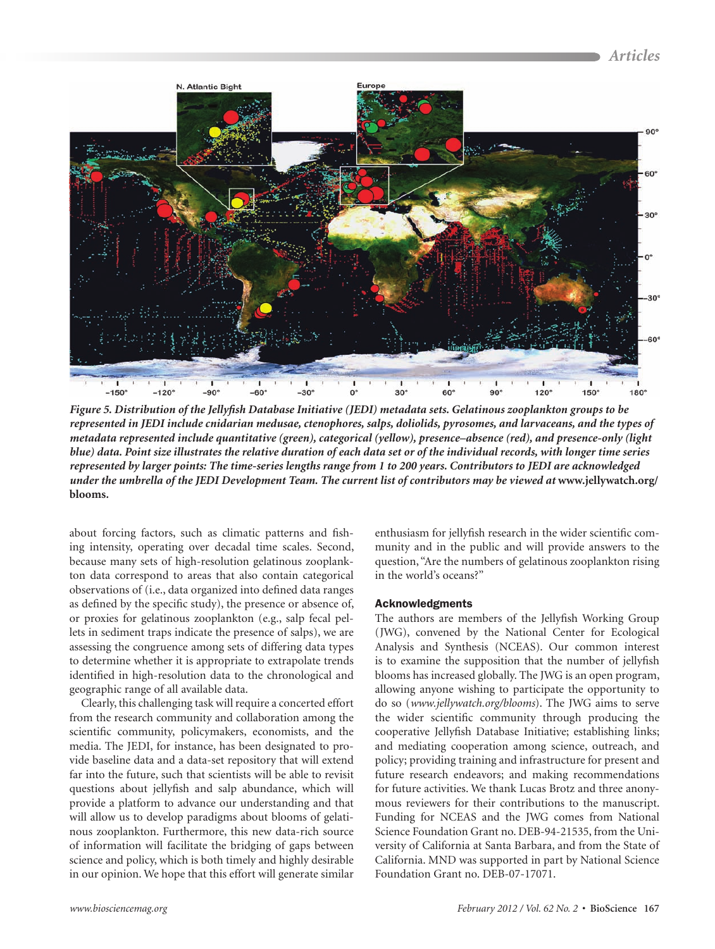# *Articles*



*Figure 5. Distribution of the Jellyfish Database Initiative (JEDI) metadata sets. Gelatinous zooplankton groups to be represented in JEDI include cnidarian medusae, ctenophores, salps, doliolids, pyrosomes, and larvaceans, and the types of metadata represented include quantitative (green), categorical (yellow), presence–absence (red), and presence-only (light blue) data. Point size illustrates the relative duration of each data set or of the individual records, with longer time series represented by larger points: The time-series lengths range from 1 to 200 years. Contributors to JEDI are acknowledged under the umbrella of the JEDI Development Team. The current list of contributors may be viewed at www.jellywatch.org/* **blooms***.*

about forcing factors, such as climatic patterns and fishing intensity, operating over decadal time scales. Second, because many sets of high-resolution gelatinous zooplankton data correspond to areas that also contain categorical observations of (i.e., data organized into defined data ranges as defined by the specific study), the presence or absence of, or proxies for gelatinous zooplankton (e.g., salp fecal pellets in sediment traps indicate the presence of salps), we are assessing the congruence among sets of differing data types to determine whether it is appropriate to extrapolate trends identified in high-resolution data to the chronological and geographic range of all available data.

Clearly, this challenging task will require a concerted effort from the research community and collaboration among the scientific community, policymakers, economists, and the media. The JEDI, for instance, has been designated to provide baseline data and a data-set repository that will extend far into the future, such that scientists will be able to revisit questions about jellyfish and salp abundance, which will provide a platform to advance our understanding and that will allow us to develop paradigms about blooms of gelatinous zooplankton. Furthermore, this new data-rich source of information will facilitate the bridging of gaps between science and policy, which is both timely and highly desirable in our opinion. We hope that this effort will generate similar enthusiasm for jellyfish research in the wider scientific community and in the public and will provide answers to the question, "Are the numbers of gelatinous zooplankton rising in the world's oceans?"

#### Acknowledgments

The authors are members of the Jellyfish Working Group (JWG), convened by the National Center for Ecological Analysis and Synthesis (NCEAS). Our common interest is to examine the supposition that the number of jellyfish blooms has increased globally. The JWG is an open program, allowing anyone wishing to participate the opportunity to do so (*www.jellywatch.org/blooms*). The JWG aims to serve the wider scientific community through producing the cooperative Jellyfish Database Initiative; establishing links; and mediating cooperation among science, outreach, and policy; providing training and infrastructure for present and future research endeavors; and making recommendations for future activities. We thank Lucas Brotz and three anonymous reviewers for their contributions to the manuscript. Funding for NCEAS and the JWG comes from National Science Foundation Grant no. DEB-94-21535, from the University of California at Santa Barbara, and from the State of California. MND was supported in part by National Science Foundation Grant no. DEB-07-17071.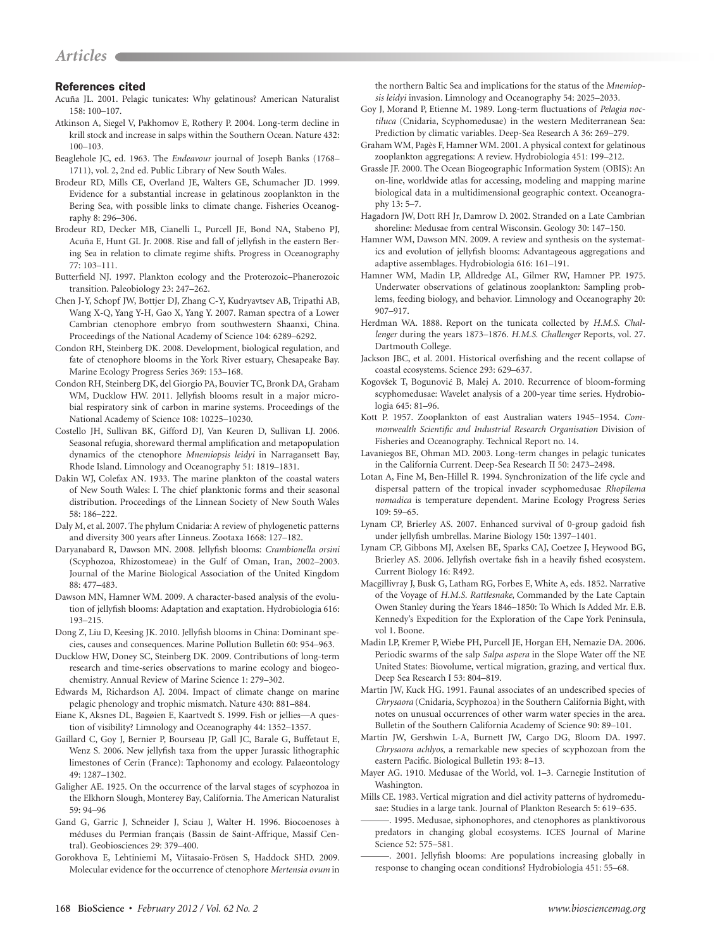#### References cited

- Acuña JL. 2001. Pelagic tunicates: Why gelatinous? American Naturalist 158: 100–107.
- Atkinson A, Siegel V, Pakhomov E, Rothery P. 2004. Long-term decline in krill stock and increase in salps within the Southern Ocean. Nature 432: 100–103.
- Beaglehole JC, ed. 1963. The *Endeavour* journal of Joseph Banks (1768– 1711), vol. 2, 2nd ed. Public Library of New South Wales.
- Brodeur RD, Mills CE, Overland JE, Walters GE, Schumacher JD. 1999. Evidence for a substantial increase in gelatinous zooplankton in the Bering Sea, with possible links to climate change. Fisheries Oceanography 8: 296–306.
- Brodeur RD, Decker MB, Cianelli L, Purcell JE, Bond NA, Stabeno PJ, Acuña E, Hunt GL Jr. 2008. Rise and fall of jellyfish in the eastern Bering Sea in relation to climate regime shifts. Progress in Oceanography 77: 103–111.
- Butterfield NJ. 1997. Plankton ecology and the Proterozoic–Phanerozoic transition. Paleobiology 23: 247–262.
- Chen J-Y, Schopf JW, Bottjer DJ, Zhang C-Y, Kudryavtsev AB, Tripathi AB, Wang X-Q, Yang Y-H, Gao X, Yang Y. 2007. Raman spectra of a Lower Cambrian ctenophore embryo from southwestern Shaanxi, China. Proceedings of the National Academy of Science 104: 6289–6292.
- Condon RH, Steinberg DK. 2008. Development, biological regulation, and fate of ctenophore blooms in the York River estuary, Chesapeake Bay. Marine Ecology Progress Series 369: 153–168.
- Condon RH, Steinberg DK, del Giorgio PA, Bouvier TC, Bronk DA, Graham WM, Ducklow HW. 2011. Jellyfish blooms result in a major microbial respiratory sink of carbon in marine systems. Proceedings of the National Academy of Science 108: 10225–10230.
- Costello JH, Sullivan BK, Gifford DJ, Van Keuren D, Sullivan LJ. 2006. Seasonal refugia, shoreward thermal amplification and metapopulation dynamics of the ctenophore *Mnemiopsis leidyi* in Narragansett Bay, Rhode Island. Limnology and Oceanography 51: 1819–1831.
- Dakin WJ, Colefax AN. 1933. The marine plankton of the coastal waters of New South Wales: I. The chief planktonic forms and their seasonal distribution. Proceedings of the Linnean Society of New South Wales 58: 186–222.
- Daly M, et al. 2007. The phylum Cnidaria: A review of phylogenetic patterns and diversity 300 years after Linneus. Zootaxa 1668: 127–182.
- Daryanabard R, Dawson MN. 2008. Jellyfish blooms: *Crambionella orsini* (Scyphozoa, Rhizostomeae) in the Gulf of Oman, Iran, 2002–2003. Journal of the Marine Biological Association of the United Kingdom 88: 477–483.
- Dawson MN, Hamner WM. 2009. A character-based analysis of the evolution of jellyfish blooms: Adaptation and exaptation*.* Hydrobiologia 616: 193–215.
- Dong Z, Liu D, Keesing JK. 2010. Jellyfish blooms in China: Dominant species, causes and consequences. Marine Pollution Bulletin 60: 954–963.
- Ducklow HW, Doney SC, Steinberg DK. 2009. Contributions of long-term research and time-series observations to marine ecology and biogeochemistry. Annual Review of Marine Science 1: 279–302.
- Edwards M, Richardson AJ. 2004. Impact of climate change on marine pelagic phenology and trophic mismatch. Nature 430: 881–884.
- Eiane K, Aksnes DL, Bagøien E, Kaartvedt S. 1999. Fish or jellies—A question of visibility? Limnology and Oceanography 44: 1352–1357.
- Gaillard C, Goy J, Bernier P, Bourseau JP, Gall JC, Barale G, Buffetaut E, Wenz S. 2006. New jellyfish taxa from the upper Jurassic lithographic limestones of Cerin (France): Taphonomy and ecology. Palaeontology 49: 1287–1302.
- Galigher AE. 1925. On the occurrence of the larval stages of scyphozoa in the Elkhorn Slough, Monterey Bay, California. The American Naturalist 59: 94–96
- Gand G, Garric J, Schneider J, Sciau J, Walter H. 1996. Biocoenoses à méduses du Permian français (Bassin de Saint-Affrique, Massif Central). Geobiosciences 29: 379–400.
- Gorokhova E, Lehtiniemi M, Viitasaio-Frösen S, Haddock SHD. 2009. Molecular evidence for the occurrence of ctenophore *Mertensia ovum* in

the northern Baltic Sea and implications for the status of the *Mnemiopsis leidyi* invasion. Limnology and Oceanography 54: 2025–2033.

- Goy J, Morand P, Etienne M. 1989. Long-term fluctuations of *Pelagia noctiluca* (Cnidaria, Scyphomedusae) in the western Mediterranean Sea: Prediction by climatic variables. Deep-Sea Research A 36: 269–279.
- Graham WM, Pagès F, Hamner WM. 2001. A physical context for gelatinous zooplankton aggregations: A review. Hydrobiologia 451: 199–212.
- Grassle JF. 2000. The Ocean Biogeographic Information System (OBIS): An on-line, worldwide atlas for accessing, modeling and mapping marine biological data in a multidimensional geographic context. Oceanography 13: 5–7.
- Hagadorn JW, Dott RH Jr, Damrow D. 2002. Stranded on a Late Cambrian shoreline: Medusae from central Wisconsin. Geology 30: 147–150.
- Hamner WM, Dawson MN. 2009. A review and synthesis on the systematics and evolution of jellyfish blooms: Advantageous aggregations and adaptive assemblages. Hydrobiologia 616: 161–191.
- Hamner WM, Madin LP, Alldredge AL, Gilmer RW, Hamner PP. 1975. Underwater observations of gelatinous zooplankton: Sampling problems, feeding biology, and behavior. Limnology and Oceanography 20: 907–917.
- Herdman WA. 1888. Report on the tunicata collected by *H.M.S. Challenger* during the years 1873–1876. *H.M.S. Challenger* Reports, vol. 27. Dartmouth College.
- Jackson JBC, et al. 2001. Historical overfishing and the recent collapse of coastal ecosystems. Science 293: 629–637.
- Kogovšek T, Bogunović B, Malej A. 2010. Recurrence of bloom-forming scyphomedusae: Wavelet analysis of a 200-year time series. Hydrobiologia 645: 81–96.
- Kott P. 1957. Zooplankton of east Australian waters 1945–1954. *Commonwealth Scientific and Industrial Research Organisation* Division of Fisheries and Oceanography. Technical Report no. 14.
- Lavaniegos BE, Ohman MD. 2003. Long-term changes in pelagic tunicates in the California Current. Deep-Sea Research II 50: 2473–2498.
- Lotan A, Fine M, Ben-Hillel R. 1994. Synchronization of the life cycle and dispersal pattern of the tropical invader scyphomedusae *Rhopilema nomadica* is temperature dependent. Marine Ecology Progress Series 109: 59–65.
- Lynam CP, Brierley AS. 2007. Enhanced survival of 0-group gadoid fish under jellyfish umbrellas. Marine Biology 150: 1397–1401.
- Lynam CP, Gibbons MJ, Axelsen BE, Sparks CAJ, Coetzee J, Heywood BG, Brierley AS. 2006. Jellyfish overtake fish in a heavily fished ecosystem. Current Biology 16: R492.
- Macgillivray J, Busk G, Latham RG, Forbes E, White A, eds. 1852. Narrative of the Voyage of *H.M.S. Rattlesnake*, Commanded by the Late Captain Owen Stanley during the Years 1846–1850: To Which Is Added Mr. E.B. Kennedy's Expedition for the Exploration of the Cape York Peninsula, vol 1. Boone.
- Madin LP, Kremer P, Wiebe PH, Purcell JE, Horgan EH, Nemazie DA. 2006. Periodic swarms of the salp *Salpa aspera* in the Slope Water off the NE United States: Biovolume, vertical migration, grazing, and vertical flux. Deep Sea Research I 53: 804–819.
- Martin JW, Kuck HG. 1991. Faunal associates of an undescribed species of *Chrysaora* (Cnidaria, Scyphozoa) in the Southern California Bight, with notes on unusual occurrences of other warm water species in the area. Bulletin of the Southern California Academy of Science 90: 89–101.
- Martin JW, Gershwin L-A, Burnett JW, Cargo DG, Bloom DA. 1997. *Chrysaora achlyos*, a remarkable new species of scyphozoan from the eastern Pacific. Biological Bulletin 193: 8–13.
- Mayer AG. 1910. Medusae of the World, vol. 1–3. Carnegie Institution of Washington.
- Mills CE. 1983. Vertical migration and diel activity patterns of hydromedusae: Studies in a large tank. Journal of Plankton Research 5: 619–635.
- -. 1995. Medusae, siphonophores, and ctenophores as planktivorous predators in changing global ecosystems. ICES Journal of Marine Science 52: 575–581.
- -. 2001. Jellyfish blooms: Are populations increasing globally in response to changing ocean conditions? Hydrobiologia 451: 55–68.